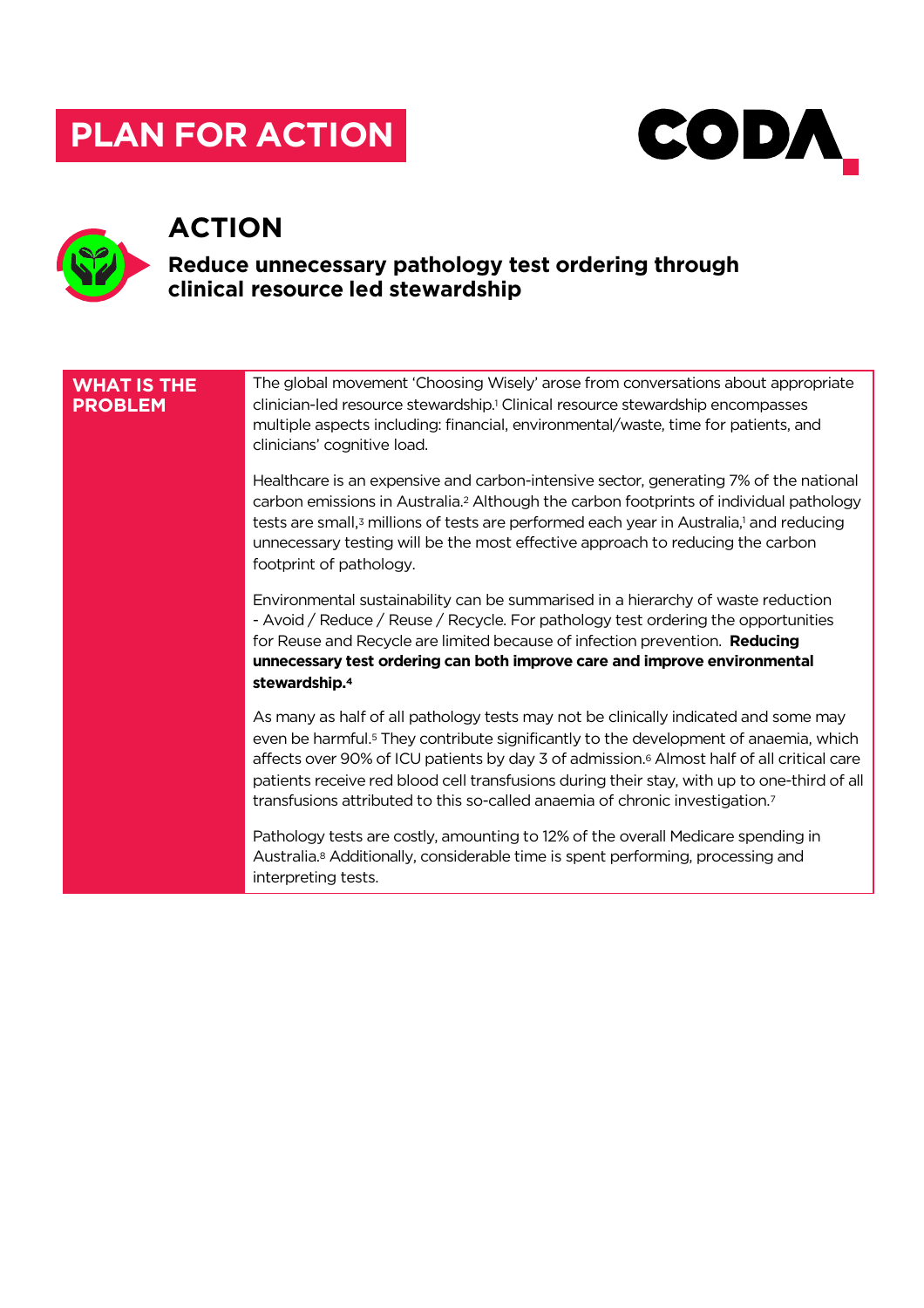# **PLAN FOR ACTION**





# **ACTION**

## **Reduce unnecessary pathology test ordering through clinical resource led stewardship**

#### **WHAT IS THE PROBLEM** The global movement 'Choosing Wisely' arose from conversations about appropriate clinician-led resource stewardship.1 Clinical resource stewardship encompasses multiple aspects including: financial, environmental/waste, time for patients, and clinicians' cognitive load. Healthcare is an expensive and carbon-intensive sector, generating 7% of the national carbon emissions in Australia.2 Although the carbon footprints of individual pathology tests are small,<sup>3</sup> millions of tests are performed each year in Australia,<sup>1</sup> and reducing unnecessary testing will be the most effective approach to reducing the carbon footprint of pathology. Environmental sustainability can be summarised in a hierarchy of waste reduction - Avoid / Reduce / Reuse / Recycle. For pathology test ordering the opportunities for Reuse and Recycle are limited because of infection prevention. **Reducing unnecessary test ordering can both improve care and improve environmental stewardship.4** As many as half of all pathology tests may not be clinically indicated and some may even be harmful.5 They contribute significantly to the development of anaemia, which affects over 90% of ICU patients by day 3 of admission.6 Almost half of all critical care patients receive red blood cell transfusions during their stay, with up to one-third of all transfusions attributed to this so-called anaemia of chronic investigation.7 Pathology tests are costly, amounting to 12% of the overall Medicare spending in Australia.8 Additionally, considerable time is spent performing, processing and interpreting tests.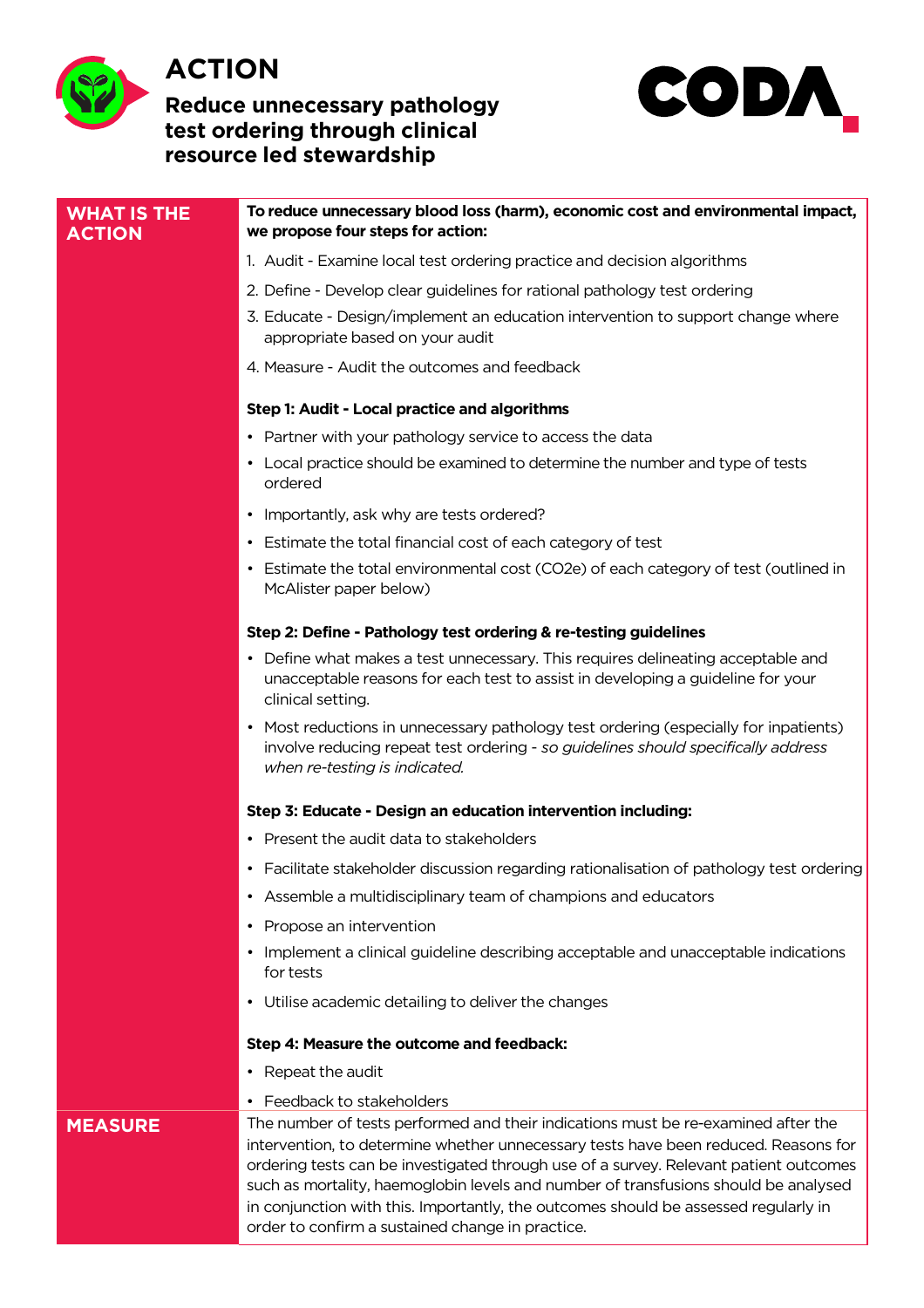

# **ACTION**

### **Reduce unnecessary pathology test ordering through clinical resource led stewardship**



| <b>WHAT IS THE</b><br><b>ACTION</b> | To reduce unnecessary blood loss (harm), economic cost and environmental impact,<br>we propose four steps for action:                                                                                                                                                                                                                                                                                                                                                                               |
|-------------------------------------|-----------------------------------------------------------------------------------------------------------------------------------------------------------------------------------------------------------------------------------------------------------------------------------------------------------------------------------------------------------------------------------------------------------------------------------------------------------------------------------------------------|
|                                     | 1. Audit - Examine local test ordering practice and decision algorithms                                                                                                                                                                                                                                                                                                                                                                                                                             |
|                                     | 2. Define - Develop clear guidelines for rational pathology test ordering                                                                                                                                                                                                                                                                                                                                                                                                                           |
|                                     | 3. Educate - Design/implement an education intervention to support change where<br>appropriate based on your audit                                                                                                                                                                                                                                                                                                                                                                                  |
|                                     | 4. Measure - Audit the outcomes and feedback                                                                                                                                                                                                                                                                                                                                                                                                                                                        |
|                                     | Step 1: Audit - Local practice and algorithms                                                                                                                                                                                                                                                                                                                                                                                                                                                       |
|                                     | • Partner with your pathology service to access the data                                                                                                                                                                                                                                                                                                                                                                                                                                            |
|                                     | • Local practice should be examined to determine the number and type of tests<br>ordered                                                                                                                                                                                                                                                                                                                                                                                                            |
|                                     | • Importantly, ask why are tests ordered?                                                                                                                                                                                                                                                                                                                                                                                                                                                           |
|                                     | • Estimate the total financial cost of each category of test                                                                                                                                                                                                                                                                                                                                                                                                                                        |
|                                     | • Estimate the total environmental cost (CO2e) of each category of test (outlined in<br>McAlister paper below)                                                                                                                                                                                                                                                                                                                                                                                      |
|                                     | Step 2: Define - Pathology test ordering & re-testing guidelines                                                                                                                                                                                                                                                                                                                                                                                                                                    |
|                                     | • Define what makes a test unnecessary. This requires delineating acceptable and<br>unacceptable reasons for each test to assist in developing a guideline for your<br>clinical setting.                                                                                                                                                                                                                                                                                                            |
|                                     | • Most reductions in unnecessary pathology test ordering (especially for inpatients)<br>involve reducing repeat test ordering - so guidelines should specifically address<br>when re-testing is indicated.                                                                                                                                                                                                                                                                                          |
|                                     | Step 3: Educate - Design an education intervention including:                                                                                                                                                                                                                                                                                                                                                                                                                                       |
|                                     | • Present the audit data to stakeholders                                                                                                                                                                                                                                                                                                                                                                                                                                                            |
|                                     | • Facilitate stakeholder discussion regarding rationalisation of pathology test ordering                                                                                                                                                                                                                                                                                                                                                                                                            |
|                                     | • Assemble a multidisciplinary team of champions and educators                                                                                                                                                                                                                                                                                                                                                                                                                                      |
|                                     | Propose an intervention<br>$\bullet$                                                                                                                                                                                                                                                                                                                                                                                                                                                                |
|                                     | • Implement a clinical guideline describing acceptable and unacceptable indications<br>for tests                                                                                                                                                                                                                                                                                                                                                                                                    |
|                                     | • Utilise academic detailing to deliver the changes                                                                                                                                                                                                                                                                                                                                                                                                                                                 |
|                                     | Step 4: Measure the outcome and feedback:                                                                                                                                                                                                                                                                                                                                                                                                                                                           |
|                                     | Repeat the audit<br>٠                                                                                                                                                                                                                                                                                                                                                                                                                                                                               |
|                                     | • Feedback to stakeholders                                                                                                                                                                                                                                                                                                                                                                                                                                                                          |
| <b>MEASURE</b>                      | The number of tests performed and their indications must be re-examined after the<br>intervention, to determine whether unnecessary tests have been reduced. Reasons for<br>ordering tests can be investigated through use of a survey. Relevant patient outcomes<br>such as mortality, haemoglobin levels and number of transfusions should be analysed<br>in conjunction with this. Importantly, the outcomes should be assessed regularly in<br>order to confirm a sustained change in practice. |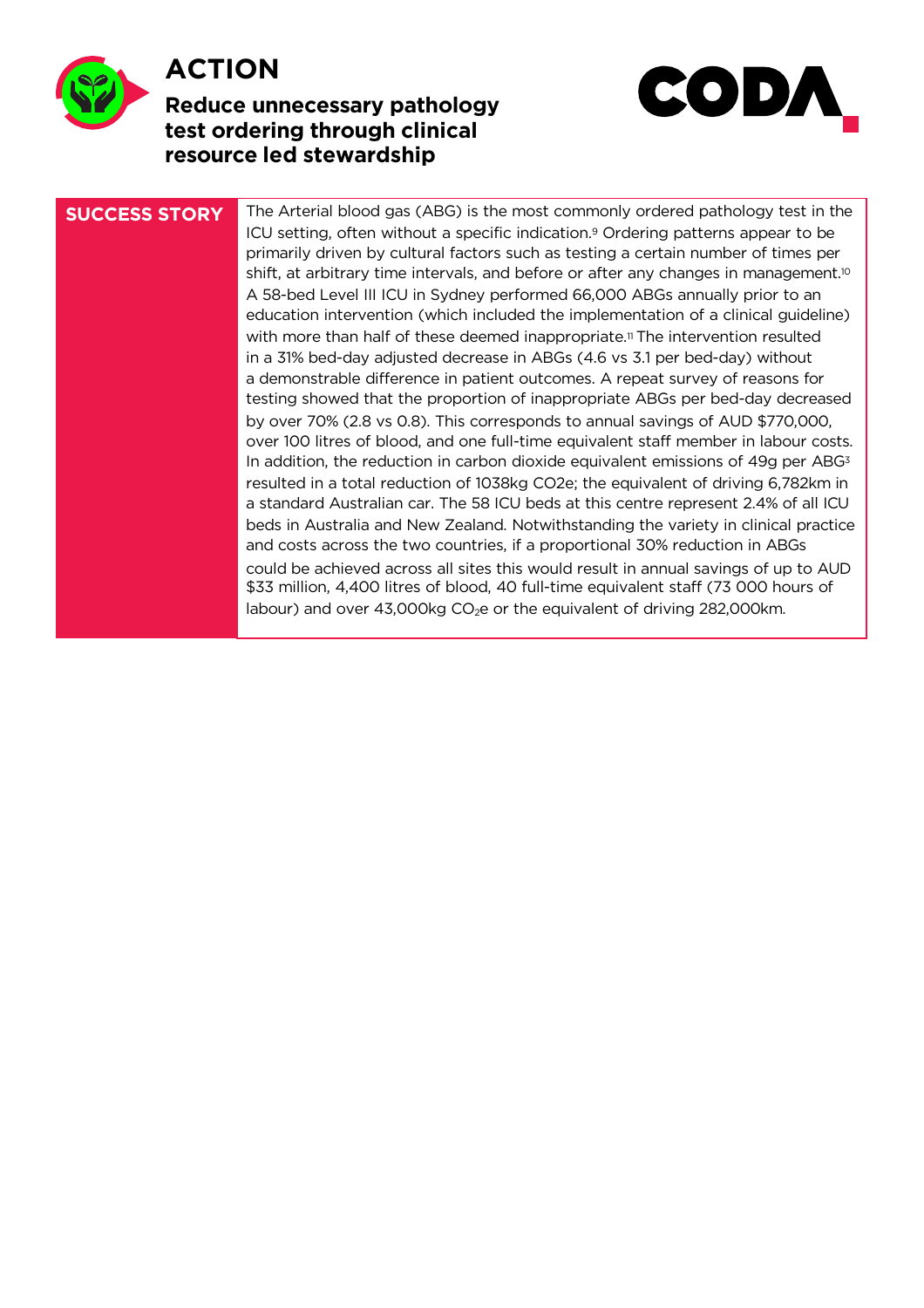

# **ACTION**

## **Reduce unnecessary pathology test ordering through clinical resource led stewardship**



**SUCCESS STORY** The Arterial blood gas (ABG) is the most commonly ordered pathology test in the ICU setting, often without a specific indication.9 Ordering patterns appear to be primarily driven by cultural factors such as testing a certain number of times per shift, at arbitrary time intervals, and before or after any changes in management.<sup>10</sup> A 58-bed Level III ICU in Sydney performed 66,000 ABGs annually prior to an education intervention (which included the implementation of a clinical guideline) with more than half of these deemed inappropriate.<sup>11</sup> The intervention resulted in a 31% bed-day adjusted decrease in ABGs (4.6 vs 3.1 per bed-day) without a demonstrable difference in patient outcomes. A repeat survey of reasons for testing showed that the proportion of inappropriate ABGs per bed-day decreased by over 70% (2.8 vs 0.8). This corresponds to annual savings of AUD \$770,000, over 100 litres of blood, and one full-time equivalent staff member in labour costs. In addition, the reduction in carbon dioxide equivalent emissions of 49q per  $ABG<sup>3</sup>$ resulted in a total reduction of 1038kg CO2e; the equivalent of driving 6,782km in a standard Australian car. The 58 ICU beds at this centre represent 2.4% of all ICU beds in Australia and New Zealand. Notwithstanding the variety in clinical practice and costs across the two countries, if a proportional 30% reduction in ABGs could be achieved across all sites this would result in annual savings of up to AUD \$33 million, 4,400 litres of blood, 40 full-time equivalent staff (73 000 hours of labour) and over  $43,000kg$  CO<sub>2</sub>e or the equivalent of driving 282,000km.